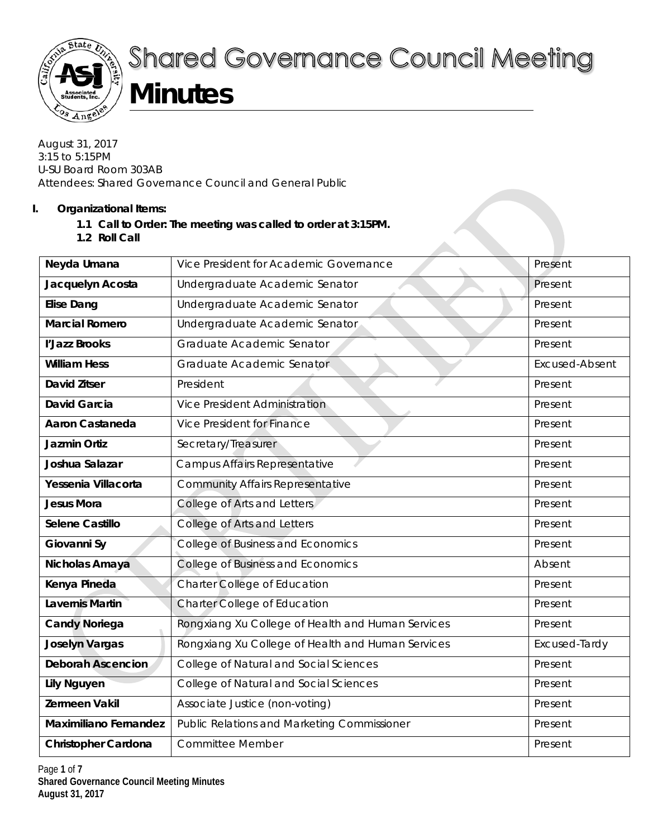

# **Shared Governance Council Meeting**

## **Minutes**

August 31, 2017 3:15 to 5:15PM U-SU Board Room 303AB Attendees: Shared Governance Council and General Public

#### **I. Organizational Items:**

- **1.1 Call to Order: The meeting was called to order at 3:15PM.**
- **1.2 Roll Call**

| Neyda Umana                  | Vice President for Academic Governance             | Present               |
|------------------------------|----------------------------------------------------|-----------------------|
| Jacquelyn Acosta             | Undergraduate Academic Senator                     | Present               |
| <b>Elise Dang</b>            | Undergraduate Academic Senator                     | Present               |
| <b>Marcial Romero</b>        | Undergraduate Academic Senator                     | Present               |
| l'Jazz Brooks                | Graduate Academic Senator                          | Present               |
| <b>William Hess</b>          | Graduate Academic Senator                          | <b>Excused-Absent</b> |
| <b>David Zitser</b>          | President                                          | Present               |
| <b>David Garcia</b>          | <b>Vice President Administration</b>               | Present               |
| <b>Aaron Castaneda</b>       | Vice President for Finance                         | Present               |
| Jazmin Ortiz                 | Secretary/Treasurer                                | Present               |
| Joshua Salazar               | Campus Affairs Representative                      | Present               |
| Yessenia Villacorta          | <b>Community Affairs Representative</b>            | Present               |
| <b>Jesus Mora</b>            | College of Arts and Letters                        | Present               |
| Selene Castillo              | College of Arts and Letters                        | Present               |
| Giovanni Sy                  | <b>College of Business and Economics</b>           | Present               |
| Nicholas Amaya               | College of Business and Economics                  | Absent                |
| Kenya Pineda                 | Charter College of Education                       | Present               |
| <b>Lavernis Martin</b>       | Charter College of Education                       | Present               |
| <b>Candy Noriega</b>         | Rongxiang Xu College of Health and Human Services  | Present               |
| <b>Joselyn Vargas</b>        | Rongxiang Xu College of Health and Human Services  | Excused-Tardy         |
| <b>Deborah Ascencion</b>     | College of Natural and Social Sciences             | Present               |
| <b>Lily Nguyen</b>           | College of Natural and Social Sciences             | Present               |
| Zermeen Vakil                | Associate Justice (non-voting)                     | Present               |
| <b>Maximiliano Fernandez</b> | <b>Public Relations and Marketing Commissioner</b> | Present               |
| <b>Christopher Cardona</b>   | <b>Committee Member</b>                            | Present               |
|                              |                                                    |                       |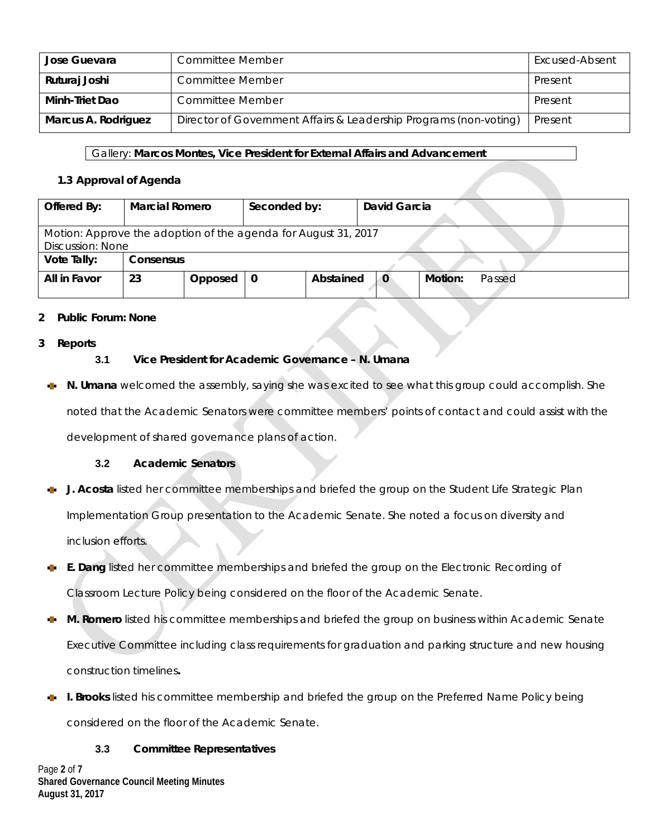| Jose Guevara        | <b>Committee Member</b>                                           | Excused-Absent |
|---------------------|-------------------------------------------------------------------|----------------|
| Ruturaj Joshi       | <b>Committee Member</b>                                           | Present        |
| Minh-Triet Dao      | <b>Committee Member</b>                                           | Present        |
| Marcus A. Rodriguez | Director of Government Affairs & Leadership Programs (non-voting) | Present        |

#### Gallery: **Marcos Montes, Vice President for External Affairs and Advancement**

#### **1.3 Approval of Agenda**

| Offered By:                                                    | <b>Marcial Romero</b>         |         | Seconded by: |           | David Garcia |         |        |  |
|----------------------------------------------------------------|-------------------------------|---------|--------------|-----------|--------------|---------|--------|--|
| Motion: Approve the adoption of the agenda for August 31, 2017 |                               |         |              |           |              |         |        |  |
| Vote Tally:                                                    | Discussion: None<br>Consensus |         |              |           |              |         |        |  |
| All in Favor                                                   | 23                            | Opposed |              | Abstained | $\mathbf{0}$ | Motion: | Passed |  |

#### **2 Public Forum: None**

**3 Reports** 

#### **3.1 Vice President for Academic Governance – N. Umana**

**N. Umana** welcomed the assembly, saying she was excited to see what this group could accomplish. She noted that the Academic Senators were committee members' points of contact and could assist with the development of shared governance plans of action.

#### **3.2 Academic Senators**

- **J. Acosta** listed her committee memberships and briefed the group on the Student Life Strategic Plan Implementation Group presentation to the Academic Senate. She noted a focus on diversity and inclusion efforts.
- **E. Dang** listed her committee memberships and briefed the group on the Electronic Recording of Classroom Lecture Policy being considered on the floor of the Academic Senate.
- **M. Romero** listed his committee memberships and briefed the group on business within Academic Senate Executive Committee including class requirements for graduation and parking structure and new housing construction timelines**.**
- **I. Brooks** listed his committee membership and briefed the group on the Preferred Name Policy being considered on the floor of the Academic Senate.

#### **3.3 Committee Representatives**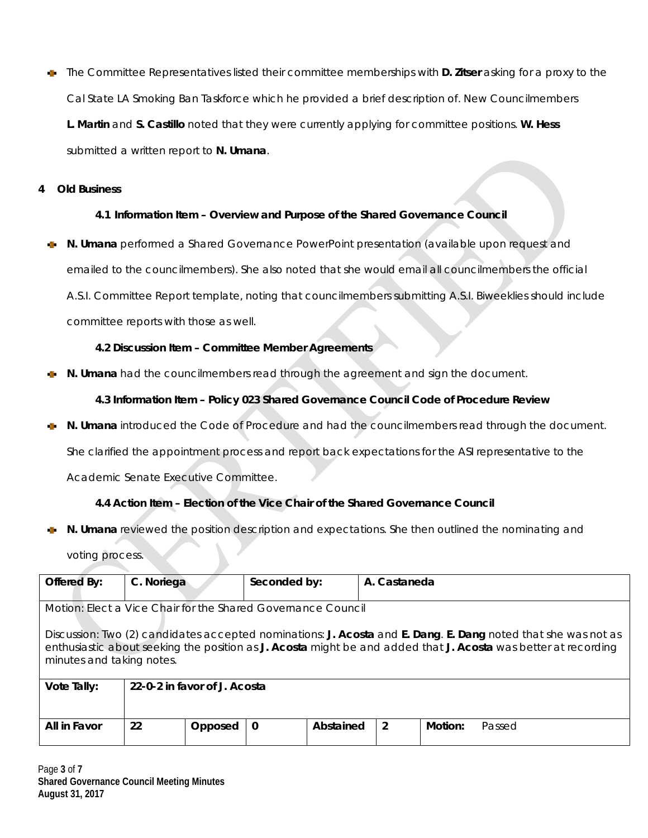The Committee Representatives listed their committee memberships with **D. Zitser** asking for a proxy to the **SEP** Cal State LA Smoking Ban Taskforce which he provided a brief description of. New Councilmembers **L. Martin** and **S. Castillo** noted that they were currently applying for committee positions. **W. Hess**  submitted a written report to **N. Umana**.

#### **4 Old Business**

#### **4.1 Information Item – Overview and Purpose of the Shared Governance Council**

**N. Umana** performed a Shared Governance PowerPoint presentation (available upon request and emailed to the councilmembers). She also noted that she would email all councilmembers the official A.S.I. Committee Report template, noting that councilmembers submitting A.S.I. Biweeklies should include committee reports with those as well.

#### **4.2 Discussion Item – Committee Member Agreements**

**N. Umana** had the councilmembers read through the agreement and sign the document.

**4.3 Information Item – Policy 023 Shared Governance Council Code of Procedure Review**

**N. Umana** introduced the Code of Procedure and had the councilmembers read through the document. She clarified the appointment process and report back expectations for the ASI representative to the

Academic Senate Executive Committee.

#### **4.4 Action Item – Election of the Vice Chair of the Shared Governance Council**

**N. Umana** reviewed the position description and expectations. She then outlined the nominating and voting process.

| Offered By:                                                                                                                                                                                                                                                  | C. Noriega                                                   |         | Seconded by: |           | A. Castaneda |         |        |  |  |  |
|--------------------------------------------------------------------------------------------------------------------------------------------------------------------------------------------------------------------------------------------------------------|--------------------------------------------------------------|---------|--------------|-----------|--------------|---------|--------|--|--|--|
|                                                                                                                                                                                                                                                              | Motion: Elect a Vice Chair for the Shared Governance Council |         |              |           |              |         |        |  |  |  |
| Discussion: Two (2) candidates accepted nominations: J. Acosta and E. Dang. E. Dang noted that she was not as<br>enthusiastic about seeking the position as J. Acosta might be and added that J. Acosta was better at recording<br>minutes and taking notes. |                                                              |         |              |           |              |         |        |  |  |  |
| Vote Tally:<br>22-0-2 in favor of J. Acosta                                                                                                                                                                                                                  |                                                              |         |              |           |              |         |        |  |  |  |
| All in Favor                                                                                                                                                                                                                                                 | 22                                                           | Opposed | 0            | Abstained | 2            | Motion: | Passed |  |  |  |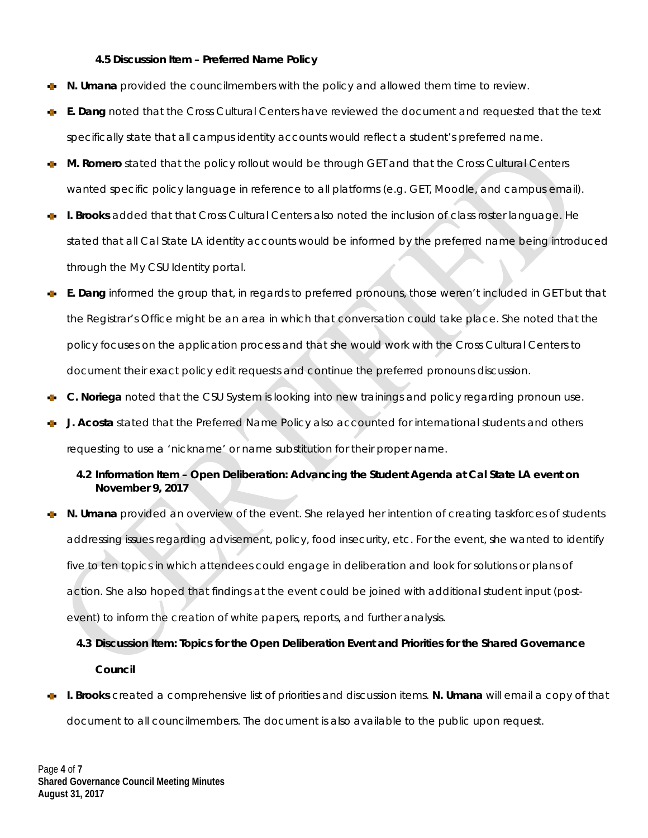#### **4.5 Discussion Item – Preferred Name Policy**

- **N. Umana** provided the councilmembers with the policy and allowed them time to review.
- **E. Dang** noted that the Cross Cultural Centers have reviewed the document and requested that the text v. specifically state that all campus identity accounts would reflect a student's preferred name.
- **M. Romero** stated that the policy rollout would be through GET and that the Cross Cultural Centers wanted specific policy language in reference to all platforms (e.g. GET, Moodle, and campus email).
- **I. Brooks** added that that Cross Cultural Centers also noted the inclusion of class roster language. He stated that all Cal State LA identity accounts would be informed by the preferred name being introduced through the My CSU Identity portal.
- **E. Dang** informed the group that, in regards to preferred pronouns, those weren't included in GET but that the Registrar's Office might be an area in which that conversation could take place. She noted that the policy focuses on the application process and that she would work with the Cross Cultural Centers to document their exact policy edit requests and continue the preferred pronouns discussion.
- **C. Noriega** noted that the CSU System is looking into new trainings and policy regarding pronoun use.
- **J. Acosta** stated that the Preferred Name Policy also accounted for international students and others requesting to use a 'nickname' or name substitution for their proper name.

#### **4.2 Information Item – Open Deliberation: Advancing the Student Agenda at Cal State LA event on November 9, 2017**

**N. Umana** provided an overview of the event. She relayed her intention of creating taskforces of students addressing issues regarding advisement, policy, food insecurity, etc. For the event, she wanted to identify five to ten topics in which attendees could engage in deliberation and look for solutions or plans of action. She also hoped that findings at the event could be joined with additional student input (postevent) to inform the creation of white papers, reports, and further analysis.

### **4.3 Discussion Item: Topics for the Open Deliberation Event and Priorities for the Shared Governance Council**

**I. Brooks** created a comprehensive list of priorities and discussion items. **N. Umana** will email a copy of that document to all councilmembers. The document is also available to the public upon request.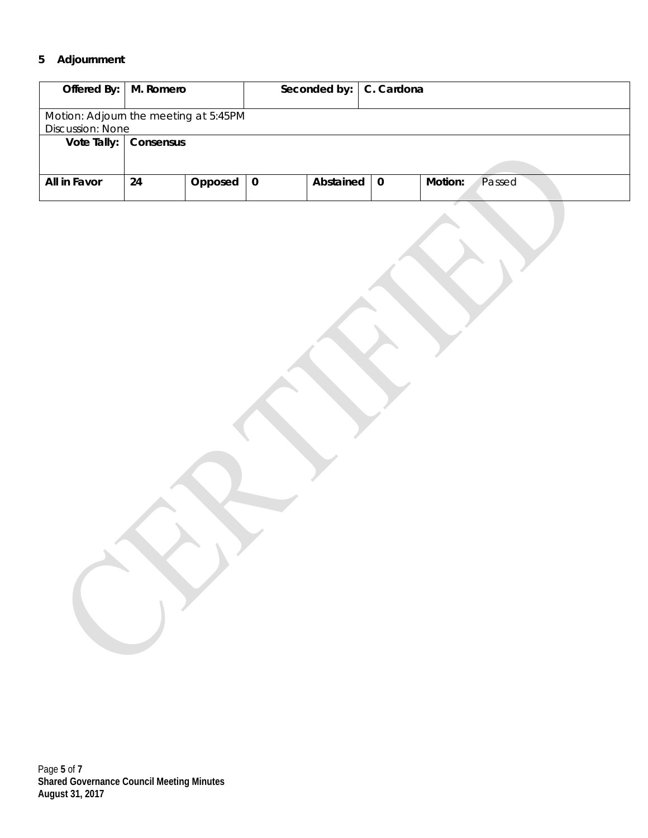#### **5 Adjournment**

| Offered By:   M. Romero               |                         |         |   | Seconded by: | C. Cardona |                   |  |  |
|---------------------------------------|-------------------------|---------|---|--------------|------------|-------------------|--|--|
|                                       |                         |         |   |              |            |                   |  |  |
| Motion: Adjourn the meeting at 5:45PM |                         |         |   |              |            |                   |  |  |
|                                       | <b>Discussion: None</b> |         |   |              |            |                   |  |  |
| Vote Tally:                           | Consensus               |         |   |              |            |                   |  |  |
|                                       |                         |         |   |              |            |                   |  |  |
|                                       |                         |         |   |              |            |                   |  |  |
| All in Favor                          | 24                      | Opposed | 0 | Abstained    | $\bf{0}$   | Motion:<br>Passed |  |  |
|                                       |                         |         |   |              |            |                   |  |  |

Page **5** of **7 Shared Governance Council Meeting Minutes August 31, 2017**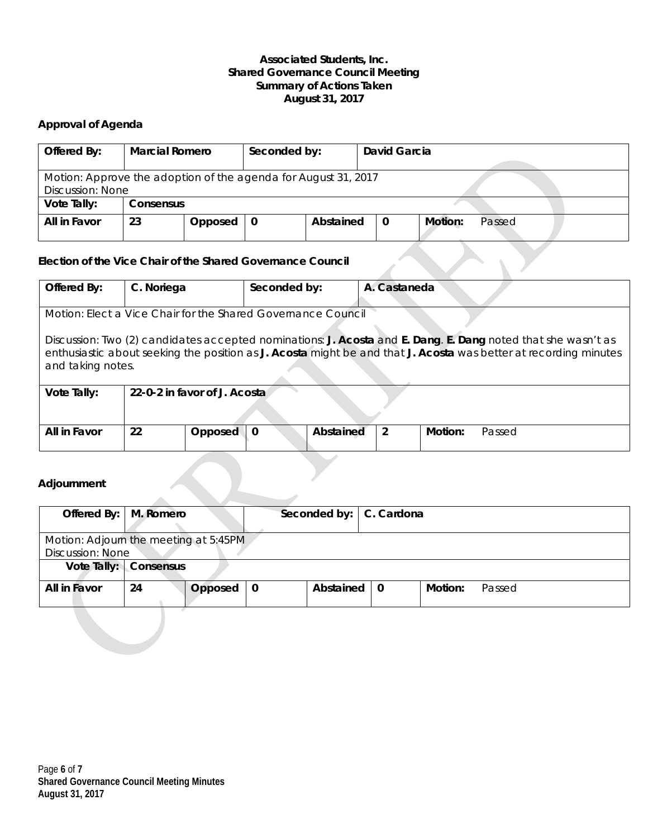#### **Associated Students, Inc. Shared Governance Council Meeting Summary of Actions Taken August 31, 2017**

#### **Approval of Agenda**

| Offered By:             | <b>Marcial Romero</b>                                          |         | Seconded by: |           | David Garcia |                   |  |  |  |
|-------------------------|----------------------------------------------------------------|---------|--------------|-----------|--------------|-------------------|--|--|--|
| <b>Discussion: None</b> | Motion: Approve the adoption of the agenda for August 31, 2017 |         |              |           |              |                   |  |  |  |
| Vote Tally:             | Consensus                                                      |         |              |           |              |                   |  |  |  |
| All in Favor            | 23                                                             | Opposed |              | Abstained | $\mathbf 0$  | Motion:<br>Passed |  |  |  |

#### **Election of the Vice Chair of the Shared Governance Council**

| Offered By:                                                  | C. Noriega                                                                                                                                                                                                                                            |         | Seconded by: |           | A. Castaneda |        |  |  |  |  |
|--------------------------------------------------------------|-------------------------------------------------------------------------------------------------------------------------------------------------------------------------------------------------------------------------------------------------------|---------|--------------|-----------|--------------|--------|--|--|--|--|
|                                                              |                                                                                                                                                                                                                                                       |         |              |           |              |        |  |  |  |  |
| Motion: Elect a Vice Chair for the Shared Governance Council |                                                                                                                                                                                                                                                       |         |              |           |              |        |  |  |  |  |
|                                                              | Discussion: Two (2) candidates accepted nominations: J. Acosta and E. Dang. E. Dang noted that she wasn't as<br>enthusiastic about seeking the position as J. Acosta might be and that J. Acosta was better at recording minutes<br>and taking notes. |         |              |           |              |        |  |  |  |  |
| Vote Tally:                                                  | 22-0-2 in favor of J. Acostal                                                                                                                                                                                                                         |         |              |           |              |        |  |  |  |  |
|                                                              |                                                                                                                                                                                                                                                       |         |              |           |              |        |  |  |  |  |
| All in Favor                                                 | 22                                                                                                                                                                                                                                                    | Opposed | $\Omega$     | Abstained | 2<br>Motion: | Passed |  |  |  |  |
|                                                              |                                                                                                                                                                                                                                                       |         |              |           |              |        |  |  |  |  |

#### **Adjournment**

| Offered By:   M. Romero |                                       |         |             | Seconded by:   C. Cardona |  |         |        |  |
|-------------------------|---------------------------------------|---------|-------------|---------------------------|--|---------|--------|--|
| <b>Discussion: None</b> | Motion: Adjourn the meeting at 5:45PM |         |             |                           |  |         |        |  |
|                         | Vote Tally: Consensus                 |         |             |                           |  |         |        |  |
| All in Favor            | 24                                    | Opposed | $\mathbf 0$ | Abstained $\vert 0 \vert$ |  | Motion: | Passed |  |